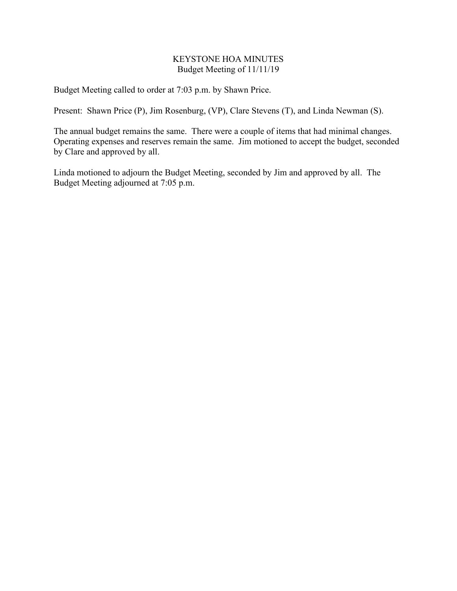## KEYSTONE HOA MINUTES Budget Meeting of 11/11/19

Budget Meeting called to order at 7:03 p.m. by Shawn Price.

Present: Shawn Price (P), Jim Rosenburg, (VP), Clare Stevens (T), and Linda Newman (S).

The annual budget remains the same. There were a couple of items that had minimal changes. Operating expenses and reserves remain the same. Jim motioned to accept the budget, seconded by Clare and approved by all.

Linda motioned to adjourn the Budget Meeting, seconded by Jim and approved by all. The Budget Meeting adjourned at 7:05 p.m.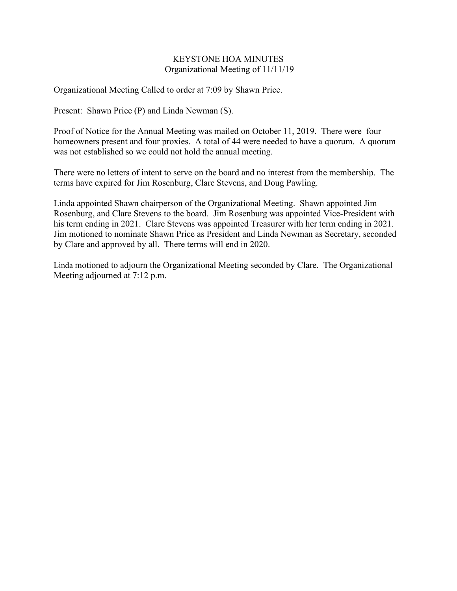## KEYSTONE HOA MINUTES Organizational Meeting of 11/11/19

Organizational Meeting Called to order at 7:09 by Shawn Price.

Present: Shawn Price (P) and Linda Newman (S).

Proof of Notice for the Annual Meeting was mailed on October 11, 2019. There were four homeowners present and four proxies. A total of 44 were needed to have a quorum. A quorum was not established so we could not hold the annual meeting.

There were no letters of intent to serve on the board and no interest from the membership. The terms have expired for Jim Rosenburg, Clare Stevens, and Doug Pawling.

Linda appointed Shawn chairperson of the Organizational Meeting. Shawn appointed Jim Rosenburg, and Clare Stevens to the board. Jim Rosenburg was appointed Vice-President with his term ending in 2021. Clare Stevens was appointed Treasurer with her term ending in 2021. Jim motioned to nominate Shawn Price as President and Linda Newman as Secretary, seconded by Clare and approved by all. There terms will end in 2020.

Linda motioned to adjourn the Organizational Meeting seconded by Clare. The Organizational Meeting adjourned at 7:12 p.m.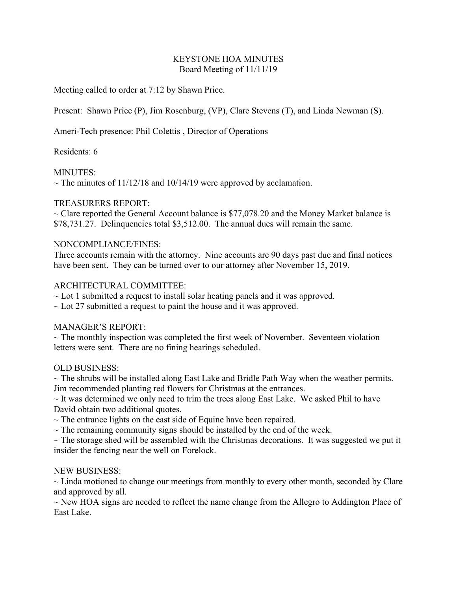# KEYSTONE HOA MINUTES Board Meeting of 11/11/19

Meeting called to order at 7:12 by Shawn Price.

Present: Shawn Price (P), Jim Rosenburg, (VP), Clare Stevens (T), and Linda Newman (S).

Ameri-Tech presence: Phil Colettis , Director of Operations

Residents: 6

## MINUTES:

 $\sim$  The minutes of 11/12/18 and 10/14/19 were approved by acclamation.

## TREASURERS REPORT:

 $\sim$  Clare reported the General Account balance is \$77,078.20 and the Money Market balance is \$78,731.27. Delinquencies total \$3,512.00. The annual dues will remain the same.

### NONCOMPLIANCE/FINES:

Three accounts remain with the attorney. Nine accounts are 90 days past due and final notices have been sent. They can be turned over to our attorney after November 15, 2019.

## ARCHITECTURAL COMMITTEE:

 $\sim$  Lot 1 submitted a request to install solar heating panels and it was approved.

 $\sim$  Lot 27 submitted a request to paint the house and it was approved.

## MANAGER'S REPORT:

 $\sim$  The monthly inspection was completed the first week of November. Seventeen violation letters were sent. There are no fining hearings scheduled.

## OLD BUSINESS:

 $\sim$  The shrubs will be installed along East Lake and Bridle Path Way when the weather permits. Jim recommended planting red flowers for Christmas at the entrances.

 $\sim$  It was determined we only need to trim the trees along East Lake. We asked Phil to have David obtain two additional quotes.

 $\sim$  The entrance lights on the east side of Equine have been repaired.

 $\sim$  The remaining community signs should be installed by the end of the week.

 $\sim$  The storage shed will be assembled with the Christmas decorations. It was suggested we put it insider the fencing near the well on Forelock.

#### NEW BUSINESS:

 $\sim$  Linda motioned to change our meetings from monthly to every other month, seconded by Clare and approved by all.

 $\sim$  New HOA signs are needed to reflect the name change from the Allegro to Addington Place of East Lake.